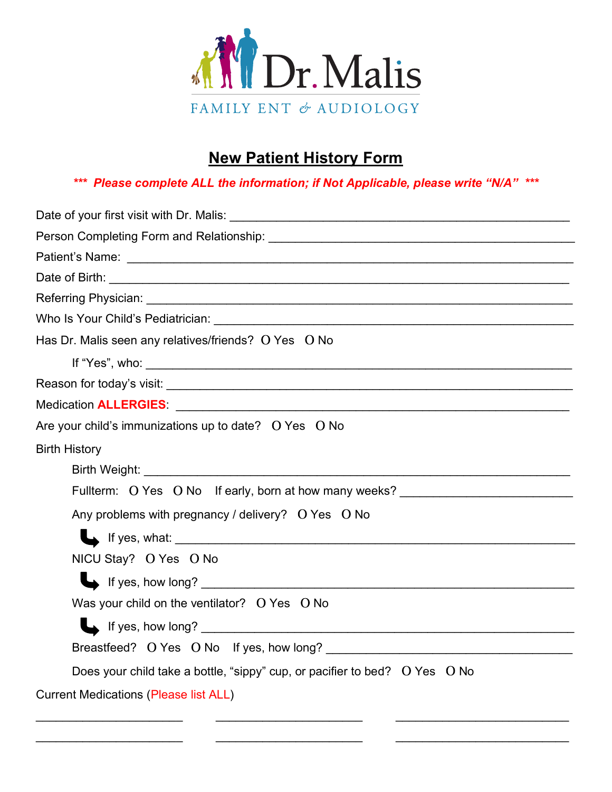

# **New Patient History Form**

*\*\*\* Please complete ALL the information; if Not Applicable, please write "N/A" \*\*\**

| Date of Birth: <u>contract and contract and contract and contract and contract and contract and contract and contract and contract and contract and contract and contract and contract and contract and contract and contract an</u> |
|--------------------------------------------------------------------------------------------------------------------------------------------------------------------------------------------------------------------------------------|
|                                                                                                                                                                                                                                      |
|                                                                                                                                                                                                                                      |
| Has Dr. Malis seen any relatives/friends? O Yes O No                                                                                                                                                                                 |
| If "Yes", who: $\overline{\phantom{a}}$                                                                                                                                                                                              |
|                                                                                                                                                                                                                                      |
|                                                                                                                                                                                                                                      |
| Are your child's immunizations up to date? O Yes O No                                                                                                                                                                                |
| <b>Birth History</b>                                                                                                                                                                                                                 |
|                                                                                                                                                                                                                                      |
| Fullterm: O Yes O No If early, born at how many weeks? _________________________                                                                                                                                                     |
| Any problems with pregnancy / delivery? O Yes O No                                                                                                                                                                                   |
| If yes, what: <u>the same and the same and the same and the same and the same and the same and the same of the same of the same of the same of the same of the same of the same of the same of the same of the same of the same </u> |
| NICU Stay? O Yes O No                                                                                                                                                                                                                |
| If yes, how long?                                                                                                                                                                                                                    |
| Was your child on the ventilator? O Yes O No                                                                                                                                                                                         |
|                                                                                                                                                                                                                                      |
|                                                                                                                                                                                                                                      |
| Does your child take a bottle, "sippy" cup, or pacifier to bed? $\overline{O}$ Yes $\overline{O}$ No                                                                                                                                 |
| <b>Current Medications (Please list ALL)</b>                                                                                                                                                                                         |

 $\overline{\phantom{a}}$  , and the contribution of the contribution of the contribution of the contribution of the contribution of the contribution of the contribution of the contribution of the contribution of the contribution of the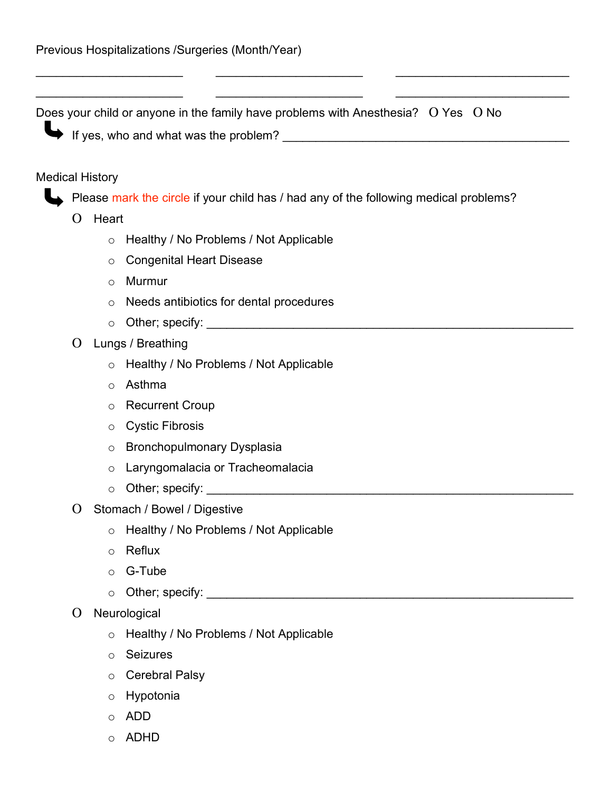Does your child or anyone in the family have problems with Anesthesia?Ο Yes Ο No

\_\_\_\_\_\_\_\_\_\_\_\_\_\_\_\_\_\_\_\_\_\_ \_\_\_\_\_\_\_\_\_\_\_\_\_\_\_\_\_\_\_\_\_\_ \_\_\_\_\_\_\_\_\_\_\_\_\_\_\_\_\_\_\_\_\_\_\_\_\_\_

\_\_\_\_\_\_\_\_\_\_\_\_\_\_\_\_\_\_\_\_\_\_ \_\_\_\_\_\_\_\_\_\_\_\_\_\_\_\_\_\_\_\_\_\_ \_\_\_\_\_\_\_\_\_\_\_\_\_\_\_\_\_\_\_\_\_\_\_\_\_\_

If yes, who and what was the problem?  $\qquad \qquad$   $\qquad \qquad$  If yes, who and what was the problem?

#### Medical History

Please mark the circle if your child has / had any of the following medical problems?

- Ο Heart
	- o Healthy / No Problems / Not Applicable
	- o Congenital Heart Disease
	- o Murmur
	- o Needs antibiotics for dental procedures
	- o Other; specify: \_\_\_\_\_\_\_\_\_\_\_\_\_\_\_\_\_\_\_\_\_\_\_\_\_\_\_\_\_\_\_\_\_\_\_\_\_\_\_\_\_\_\_\_\_\_\_\_\_\_\_\_\_\_\_
- Ο Lungs / Breathing
	- o Healthy / No Problems / Not Applicable
	- o Asthma
	- o Recurrent Croup
	- o Cystic Fibrosis
	- o Bronchopulmonary Dysplasia
	- o Laryngomalacia or Tracheomalacia
	- o Other; specify: \_\_\_\_\_\_\_\_\_\_\_\_\_\_\_\_\_\_\_\_\_\_\_\_\_\_\_\_\_\_\_\_\_\_\_\_\_\_\_\_\_\_\_\_\_\_\_\_\_\_\_\_\_\_\_
- Ο Stomach / Bowel / Digestive
	- o Healthy / No Problems / Not Applicable
	- o Reflux
	- o G-Tube
	- $\circ$  Other; specify:  $\circ$  Other; specify:
- Ο Neurological
	- o Healthy / No Problems / Not Applicable
	- o Seizures
	- o Cerebral Palsy
	- o Hypotonia
	- o ADD
	- o ADHD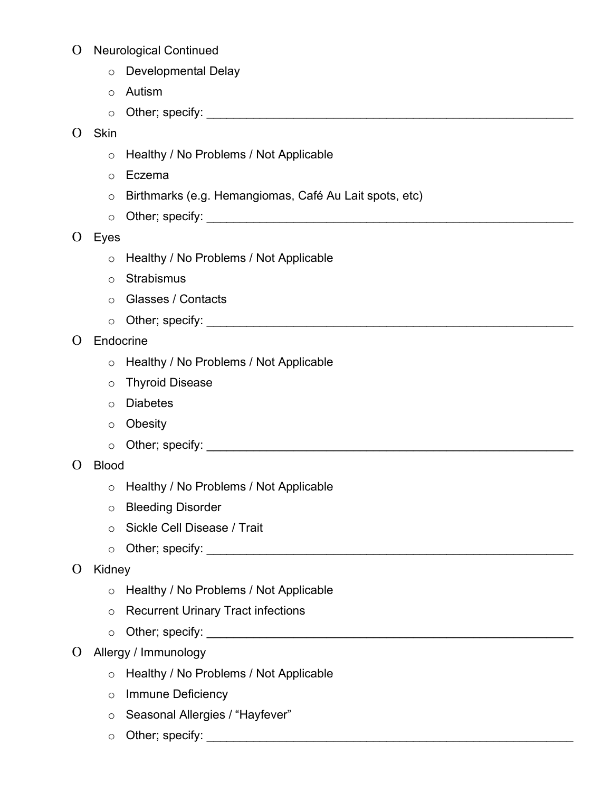## Ο Neurological Continued

- o Developmental Delay
- o Autism
- o Other; specify: \_\_\_\_\_\_\_\_\_\_\_\_\_\_\_\_\_\_\_\_\_\_\_\_\_\_\_\_\_\_\_\_\_\_\_\_\_\_\_\_\_\_\_\_\_\_\_\_\_\_\_\_\_\_\_

## Ο Skin

- o Healthy / No Problems / Not Applicable
- o Eczema
- o Birthmarks (e.g. Hemangiomas, Café Au Lait spots, etc)
- $\circ$  Other; specify:  $\circ$  Other; specify:
- Ο Eyes
	- o Healthy / No Problems / Not Applicable
	- o Strabismus
	- o Glasses / Contacts
	- $\circ$  Other; specify:  $\circ$  Other; specify:

## Ο Endocrine

- o Healthy / No Problems / Not Applicable
- o Thyroid Disease
- o Diabetes
- o Obesity
- $\circ$  Other; specify:  $\circ$  Other; specify:

#### Ο Blood

- o Healthy / No Problems / Not Applicable
- o Bleeding Disorder
- o Sickle Cell Disease / Trait
- o Other; specify: \_\_\_\_\_\_\_\_\_\_\_\_\_\_\_\_\_\_\_\_\_\_\_\_\_\_\_\_\_\_\_\_\_\_\_\_\_\_\_\_\_\_\_\_\_\_\_\_\_\_\_\_\_\_\_

## Ο Kidney

- o Healthy / No Problems / Not Applicable
- o Recurrent Urinary Tract infections
- o Other; specify: \_\_\_\_\_\_\_\_\_\_\_\_\_\_\_\_\_\_\_\_\_\_\_\_\_\_\_\_\_\_\_\_\_\_\_\_\_\_\_\_\_\_\_\_\_\_\_\_\_\_\_\_\_\_\_
- Ο Allergy / Immunology
	- o Healthy / No Problems / Not Applicable
	- o Immune Deficiency
	- o Seasonal Allergies / "Hayfever"
	- o Other; specify: \_\_\_\_\_\_\_\_\_\_\_\_\_\_\_\_\_\_\_\_\_\_\_\_\_\_\_\_\_\_\_\_\_\_\_\_\_\_\_\_\_\_\_\_\_\_\_\_\_\_\_\_\_\_\_